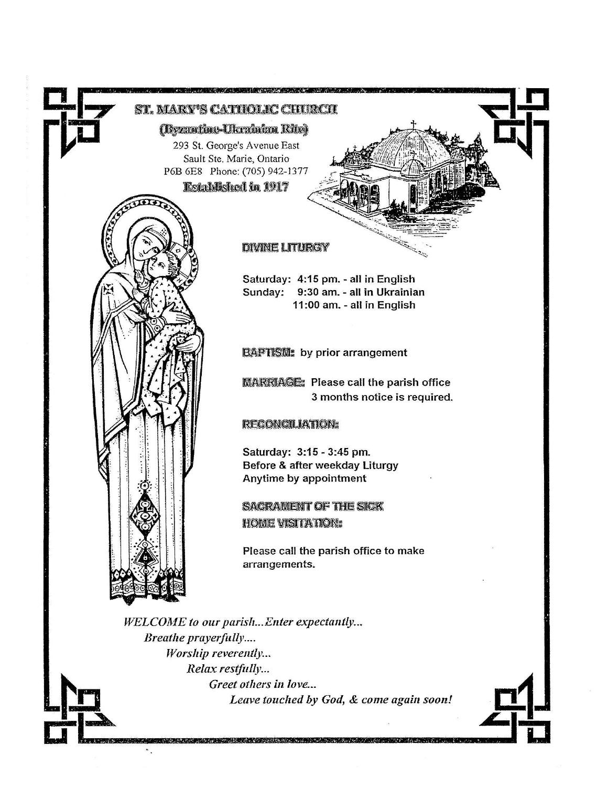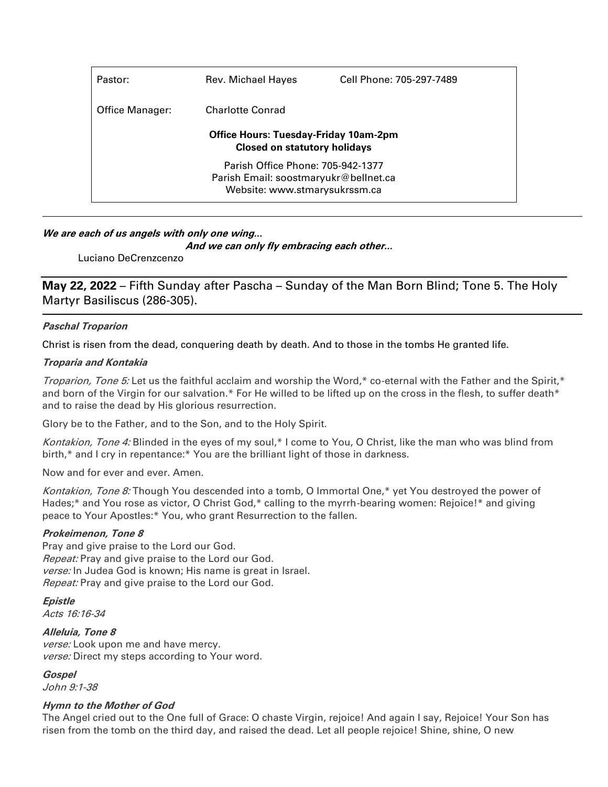| Rev. Michael Hayes                                                                  | Cell Phone: 705-297-7489 |  |  |  |
|-------------------------------------------------------------------------------------|--------------------------|--|--|--|
| Charlotte Conrad                                                                    |                          |  |  |  |
| <b>Office Hours: Tuesday-Friday 10am-2pm</b><br><b>Closed on statutory holidays</b> |                          |  |  |  |
| Parish Office Phone: 705-942-1377                                                   |                          |  |  |  |
| Parish Email: soostmaryukr@bellnet.ca                                               |                          |  |  |  |
| Website: www.stmarysukrssm.ca                                                       |                          |  |  |  |
|                                                                                     |                          |  |  |  |

## **We are each of us angels with only one wing...**

**And we can only fly embracing each other...**

Luciano DeCrenzcenzo

**May 22, 2022** – Fifth Sunday after Pascha – Sunday of the Man Born Blind; Tone 5. The Holy Martyr Basiliscus (286-305).

### **Paschal Troparion**

Christ is risen from the dead, conquering death by death. And to those in the tombs He granted life.

#### **Troparia and Kontakia**

Troparion, Tone 5: Let us the faithful acclaim and worship the Word,\* co-eternal with the Father and the Spirit,\* and born of the Virgin for our salvation.\* For He willed to be lifted up on the cross in the flesh, to suffer death\* and to raise the dead by His glorious resurrection.

Glory be to the Father, and to the Son, and to the Holy Spirit.

Kontakion, Tone 4: Blinded in the eyes of my soul,\* I come to You, O Christ, like the man who was blind from birth,\* and I cry in repentance:\* You are the brilliant light of those in darkness.

Now and for ever and ever. Amen.

Kontakion, Tone 8: Though You descended into a tomb, O Immortal One,\* yet You destroyed the power of Hades;\* and You rose as victor, O Christ God,\* calling to the myrrh-bearing women: Rejoice!\* and giving peace to Your Apostles:\* You, who grant Resurrection to the fallen.

#### **Prokeimenon, Tone 8**

Pray and give praise to the Lord our God. Repeat: Pray and give praise to the Lord our God. verse: In Judea God is known; His name is great in Israel. Repeat: Pray and give praise to the Lord our God.

**Epistle** Acts 16:16-34

**Alleluia, Tone 8** verse: Look upon me and have mercy. verse: Direct my steps according to Your word.

**Gospel**

John 9:1-38

## **Hymn to the Mother of God**

The Angel cried out to the One full of Grace: O chaste Virgin, rejoice! And again I say, Rejoice! Your Son has risen from the tomb on the third day, and raised the dead. Let all people rejoice! Shine, shine, O new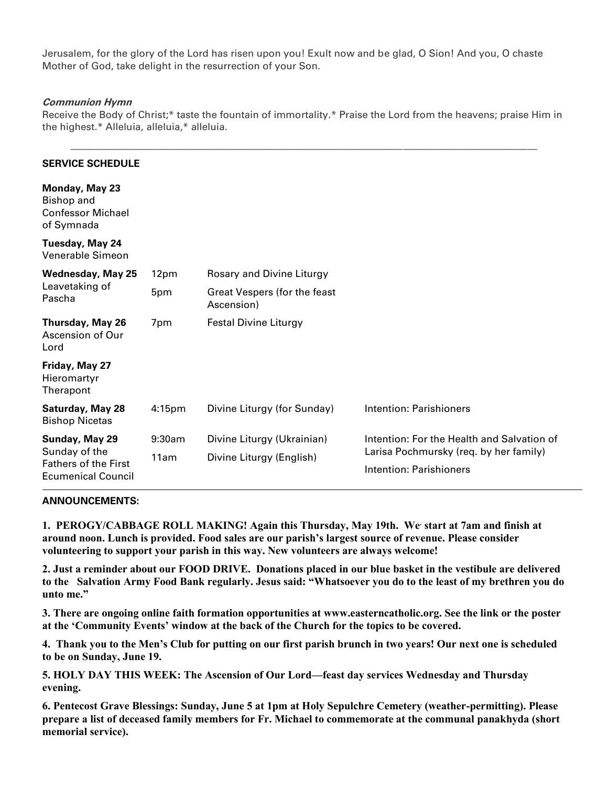Jerusalem, for the glory of the Lord has risen upon you! Exult now and be glad, O Sion! And you, O chaste Mother of God, take delight in the resurrection of your Son.

### **Communion Hymn**

Receive the Body of Christ;\* taste the fountain of immortality.\* Praise the Lord from the heavens; praise Him in the highest.\* Alleluia, alleluia,\* alleluia.

\_\_\_\_\_\_\_\_\_\_\_\_\_\_\_\_\_\_\_\_\_\_\_\_\_\_\_\_\_\_\_\_\_\_\_\_\_\_\_\_\_\_\_\_\_\_\_\_\_\_\_\_\_\_\_\_\_\_\_\_\_\_\_\_\_\_\_\_\_\_\_\_\_\_\_\_\_\_\_\_\_\_\_\_\_\_\_\_\_\_\_\_\_\_

| 12pm               | Rosary and Divine Liturgy                              |                                                                                                                 |
|--------------------|--------------------------------------------------------|-----------------------------------------------------------------------------------------------------------------|
| 5pm                | Great Vespers (for the feast<br>Ascension)             |                                                                                                                 |
| 7pm                | <b>Festal Divine Liturgy</b>                           |                                                                                                                 |
|                    |                                                        |                                                                                                                 |
| 4:15 <sub>pm</sub> | Divine Liturgy (for Sunday)                            | Intention: Parishioners                                                                                         |
| 9:30am<br>11am     | Divine Liturgy (Ukrainian)<br>Divine Liturgy (English) | Intention: For the Health and Salvation of<br>Larisa Pochmursky (req. by her family)<br>Intention: Parishioners |
|                    |                                                        |                                                                                                                 |

#### **ANNOUNCEMENTS:**

**1. PEROGY/CABBAGE ROLL MAKING! Again this Thursday, May 19th. We. start at 7am and finish at around noon. Lunch is provided. Food sales are our parish's largest source of revenue. Please consider volunteering to support your parish in this way. New volunteers are always welcome!**

**2. Just a reminder about our FOOD DRIVE. Donations placed in our blue basket in the vestibule are delivered to the Salvation Army Food Bank regularly. Jesus said: "Whatsoever you do to the least of my brethren you do unto me."**

**3. There are ongoing online faith formation opportunities at www.easterncatholic.org. See the link or the poster at the 'Community Events' window at the back of the Church for the topics to be covered.**

**4. Thank you to the Men's Club for putting on our first parish brunch in two years! Our next one is scheduled to be on Sunday, June 19.** 

**5. HOLY DAY THIS WEEK: The Ascension of Our Lord—feast day services Wednesday and Thursday evening.** 

**6. Pentecost Grave Blessings: Sunday, June 5 at 1pm at Holy Sepulchre Cemetery (weather-permitting). Please prepare a list of deceased family members for Fr. Michael to commemorate at the communal panakhyda (short memorial service).**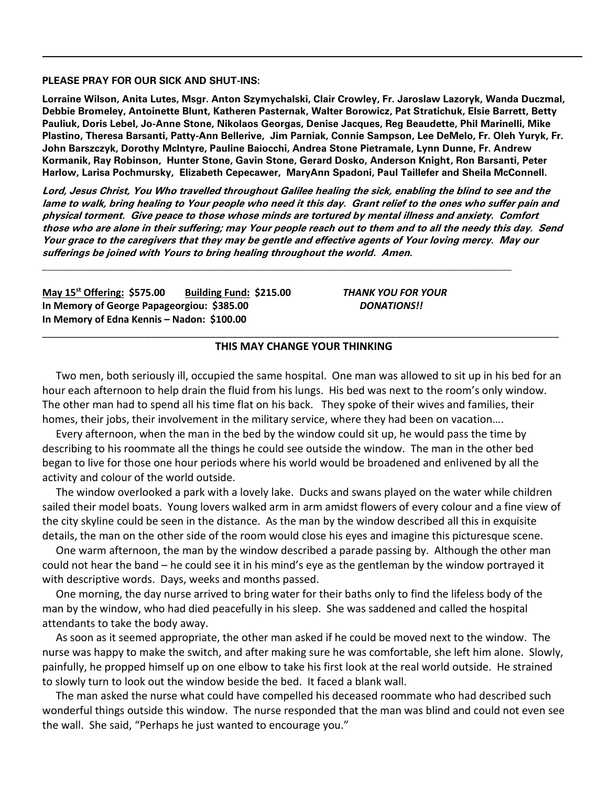**PLEASE PRAY FOR OUR SICK AND SHUT-INS:**

**Lorraine Wilson, Anita Lutes, Msgr. Anton Szymychalski, Clair Crowley, Fr. Jaroslaw Lazoryk, Wanda Duczmal, Debbie Bromeley, Antoinette Blunt, Katheren Pasternak, Walter Borowicz, Pat Stratichuk, Elsie Barrett, Betty Pauliuk, Doris Lebel, Jo-Anne Stone, Nikolaos Georgas, Denise Jacques, Reg Beaudette, Phil Marinelli, Mike Plastino, Theresa Barsanti, Patty-Ann Bellerive, Jim Parniak, Connie Sampson, Lee DeMelo, Fr. Oleh Yuryk, Fr. John Barszczyk, Dorothy McIntyre, Pauline Baiocchi, Andrea Stone Pietramale, Lynn Dunne, Fr. Andrew Kormanik, Ray Robinson, Hunter Stone, Gavin Stone, Gerard Dosko, Anderson Knight, Ron Barsanti, Peter Harlow, Larisa Pochmursky, Elizabeth Cepecawer, MaryAnn Spadoni, Paul Taillefer and Sheila McConnell.**

**Lord, Jesus Christ, You Who travelled throughout Galilee healing the sick, enabling the blind to see and the lame to walk, bring healing to Your people who need it this day. Grant relief to the ones who suffer pain and physical torment. Give peace to those whose minds are tortured by mental illness and anxiety. Comfort those who are alone in their suffering; may Your people reach out to them and to all the needy this day. Send Your grace to the caregivers that they may be gentle and effective agents of Your loving mercy. May our sufferings be joined with Yours to bring healing throughout the world. Amen.**

**May 15st Offering: \$575.00 Building Fund: \$215.00** *THANK YOU FOR YOUR* **In Memory of George Papageorgiou: \$385.00** *DONATIONS!!* **In Memory of Edna Kennis – Nadon: \$100.00**

## \_\_\_\_\_\_\_\_\_\_\_\_\_\_\_\_\_\_\_\_\_\_\_\_\_\_\_\_\_\_\_\_\_\_\_\_\_\_\_\_\_\_\_\_\_\_\_\_\_\_\_\_\_\_\_\_\_\_\_\_\_\_\_\_\_\_\_\_\_\_\_\_\_\_\_\_\_\_\_\_\_\_\_\_\_\_\_\_\_\_\_\_\_\_\_ **THIS MAY CHANGE YOUR THINKING**

 Two men, both seriously ill, occupied the same hospital. One man was allowed to sit up in his bed for an hour each afternoon to help drain the fluid from his lungs. His bed was next to the room's only window. The other man had to spend all his time flat on his back. They spoke of their wives and families, their homes, their jobs, their involvement in the military service, where they had been on vacation….

 Every afternoon, when the man in the bed by the window could sit up, he would pass the time by describing to his roommate all the things he could see outside the window. The man in the other bed began to live for those one hour periods where his world would be broadened and enlivened by all the activity and colour of the world outside.

 The window overlooked a park with a lovely lake. Ducks and swans played on the water while children sailed their model boats. Young lovers walked arm in arm amidst flowers of every colour and a fine view of the city skyline could be seen in the distance. As the man by the window described all this in exquisite details, the man on the other side of the room would close his eyes and imagine this picturesque scene.

 One warm afternoon, the man by the window described a parade passing by. Although the other man could not hear the band – he could see it in his mind's eye as the gentleman by the window portrayed it with descriptive words. Days, weeks and months passed.

 One morning, the day nurse arrived to bring water for their baths only to find the lifeless body of the man by the window, who had died peacefully in his sleep. She was saddened and called the hospital attendants to take the body away.

 As soon as it seemed appropriate, the other man asked if he could be moved next to the window. The nurse was happy to make the switch, and after making sure he was comfortable, she left him alone. Slowly, painfully, he propped himself up on one elbow to take his first look at the real world outside. He strained to slowly turn to look out the window beside the bed. It faced a blank wall.

 The man asked the nurse what could have compelled his deceased roommate who had described such wonderful things outside this window. The nurse responded that the man was blind and could not even see the wall. She said, "Perhaps he just wanted to encourage you."